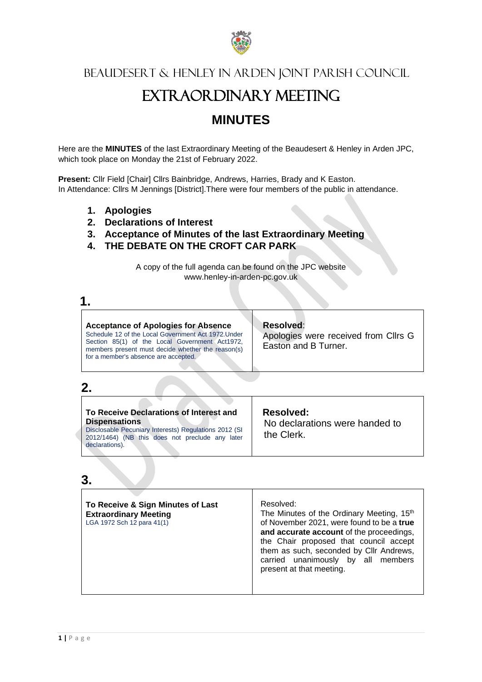

Beaudesert & Henley in Arden Joint Parish Council

# EXTRAORDINARY MEETING

## **MINUTES**

Here are the **MINUTES** of the last Extraordinary Meeting of the Beaudesert & Henley in Arden JPC, which took place on Monday the 21st of February 2022.

**Present:** Cllr Field [Chair] Cllrs Bainbridge, Andrews, Harries, Brady and K Easton. In Attendance: Cllrs M Jennings [District].There were four members of the public in attendance.

- **1. Apologies**
- **2. Declarations of Interest**
- **3. Acceptance of Minutes of the last Extraordinary Meeting**
- **4. THE DEBATE ON THE CROFT CAR PARK**

A copy of the full agenda can be found on the JPC website www.henley-in-arden-pc.gov.uk

| <b>Acceptance of Apologies for Absence</b><br>Schedule 12 of the Local Government Act 1972. Under<br>Section 85(1) of the Local Government Act1972,<br>members present must decide whether the reason(s)<br>for a member's absence are accepted. | <b>Resolved:</b><br>Apologies were received from Cllrs G<br>Easton and B Turner. |
|--------------------------------------------------------------------------------------------------------------------------------------------------------------------------------------------------------------------------------------------------|----------------------------------------------------------------------------------|

## **2.**

## **3.**

| them as such, seconded by Cllr Andrews,<br>carried unanimously by all members<br>present at that meeting. | To Receive & Sign Minutes of Last<br><b>Extraordinary Meeting</b><br>LGA 1972 Sch 12 para 41(1) | Resolved:<br>The Minutes of the Ordinary Meeting, 15th<br>of November 2021, were found to be a true<br>and accurate account of the proceedings,<br>the Chair proposed that council accept |
|-----------------------------------------------------------------------------------------------------------|-------------------------------------------------------------------------------------------------|-------------------------------------------------------------------------------------------------------------------------------------------------------------------------------------------|
|-----------------------------------------------------------------------------------------------------------|-------------------------------------------------------------------------------------------------|-------------------------------------------------------------------------------------------------------------------------------------------------------------------------------------------|